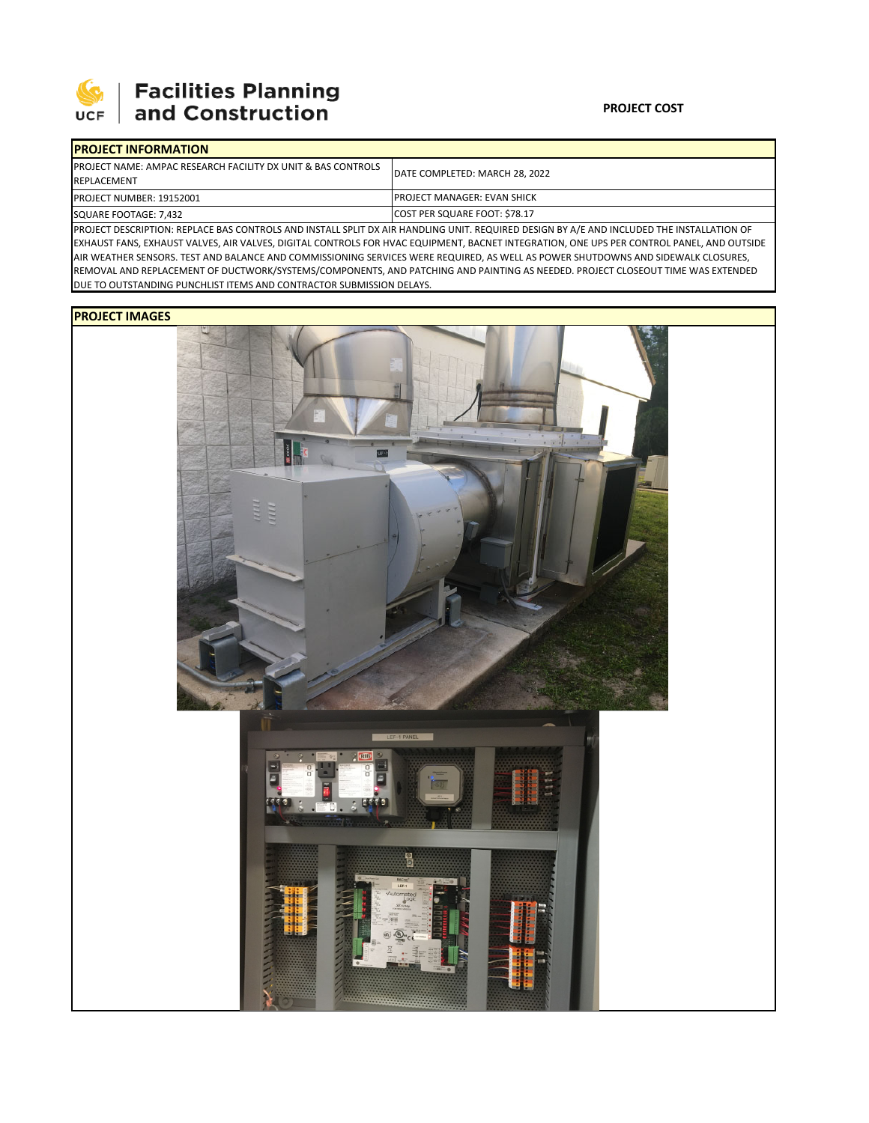

## 

| <b>IPROJECT INFORMATION</b>                                                                                                                 |                                        |  |  |  |
|---------------------------------------------------------------------------------------------------------------------------------------------|----------------------------------------|--|--|--|
| <b>IPROJECT NAME: AMPAC RESEARCH FACILITY DX UNIT &amp; BAS CONTROLS</b><br>REPLACEMENT                                                     | <b>IDATE COMPLETED: MARCH 28, 2022</b> |  |  |  |
| <b>PROJECT NUMBER: 19152001</b>                                                                                                             | <b>IPROJECT MANAGER: EVAN SHICK</b>    |  |  |  |
| SQUARE FOOTAGE: 7,432                                                                                                                       | COST PER SQUARE FOOT: \$78.17          |  |  |  |
| DED OFFER DECEDITION. BERLACE BAS CONTROLS AND INSTALL SPILT DY AIR HANDLING LINIT BEOLIDED DESIGN BY A /E AND INCLUDED THE INSTALLATION OF |                                        |  |  |  |

PROJECT DESCRIPTION: REPLACE BAS CONTROLS AND INSTALL SPLIT DX AIR HANDLING UNIT. REQUIRED DESIGN BY A/E AND INCLUDED THE INSTALLATION OF EXHAUST FANS, EXHAUST VALVES, AIR VALVES, DIGITAL CONTROLS FOR HVAC EQUIPMENT, BACNET INTEGRATION, ONE UPS PER CONTROL PANEL, AND OUTSIDE AIR WEATHER SENSORS. TEST AND BALANCE AND COMMISSIONING SERVICES WERE REQUIRED, AS WELL AS POWER SHUTDOWNS AND SIDEWALK CLOSURES, REMOVAL AND REPLACEMENT OF DUCTWORK/SYSTEMS/COMPONENTS, AND PATCHING AND PAINTING AS NEEDED. PROJECT CLOSEOUT TIME WAS EXTENDED DUE TO OUTSTANDING PUNCHLIST ITEMS AND CONTRACTOR SUBMISSION DELAYS.

## **PROJECT IMAGES**